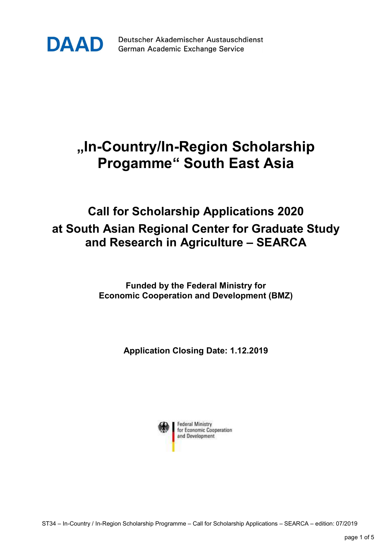

Deutscher Akademischer Austauschdienst German Academic Exchange Service

## "In-Country/In-Region Scholarship Progamme" South East Asia

## Call for Scholarship Applications 2020 at South Asian Regional Center for Graduate Study and Research in Agriculture – SEARCA

Funded by the Federal Ministry for Economic Cooperation and Development (BMZ)

Application Closing Date: 1.12.2019

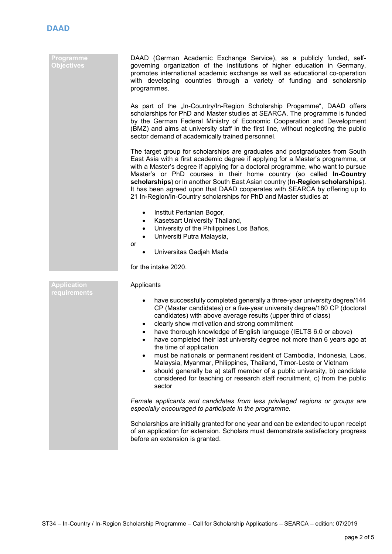## Programme **Objectives**

 DAAD (German Academic Exchange Service), as a publicly funded, selfgoverning organization of the institutions of higher education in Germany, promotes international academic exchange as well as educational co-operation with developing countries through a variety of funding and scholarship programmes.

As part of the "In-Country/In-Region Scholarship Progamme", DAAD offers scholarships for PhD and Master studies at SEARCA. The programme is funded by the German Federal Ministry of Economic Cooperation and Development (BMZ) and aims at university staff in the first line, without neglecting the public sector demand of academically trained personnel.

The target group for scholarships are graduates and postgraduates from South East Asia with a first academic degree if applying for a Master's programme, or with a Master's degree if applying for a doctoral programme, who want to pursue Master's or PhD courses in their home country (so called In-Country scholarships) or in another South East Asian country (In-Region scholarships). It has been agreed upon that DAAD cooperates with SEARCA by offering up to 21 In-Region/In-Country scholarships for PhD and Master studies at

- Institut Pertanian Bogor,
- Kasetsart University Thailand,
- University of the Philippines Los Baños,
- Universiti Putra Malaysia,
- or
	- Universitas Gadjah Mada

for the intake 2020.

| <b>Application</b><br><b>requirements</b> | Applicants                                                                                                                                                                                                                                                                                                                                                                                                                                                                                                                                                                                                                                                                                                                                                        |
|-------------------------------------------|-------------------------------------------------------------------------------------------------------------------------------------------------------------------------------------------------------------------------------------------------------------------------------------------------------------------------------------------------------------------------------------------------------------------------------------------------------------------------------------------------------------------------------------------------------------------------------------------------------------------------------------------------------------------------------------------------------------------------------------------------------------------|
|                                           | have successfully completed generally a three-year university degree/144<br>CP (Master candidates) or a five-year university degree/180 CP (doctoral<br>candidates) with above average results (upper third of class)<br>clearly show motivation and strong commitment<br>have thorough knowledge of English language (IELTS 6.0 or above)<br>have completed their last university degree not more than 6 years ago at<br>the time of application<br>must be nationals or permanent resident of Cambodia, Indonesia, Laos,<br>Malaysia, Myanmar, Philippines, Thailand, Timor-Leste or Vietnam<br>should generally be a) staff member of a public university, b) candidate<br>considered for teaching or research staff recruitment, c) from the public<br>sector |
|                                           | Female applicants and candidates from less privileged regions or groups are<br>especially encouraged to participate in the programme.                                                                                                                                                                                                                                                                                                                                                                                                                                                                                                                                                                                                                             |
|                                           | Scholarships are initially granted for one year and can be extended to upon receipt<br>of an application for extension. Scholars must demonstrate satisfactory progress<br>before an extension is granted.                                                                                                                                                                                                                                                                                                                                                                                                                                                                                                                                                        |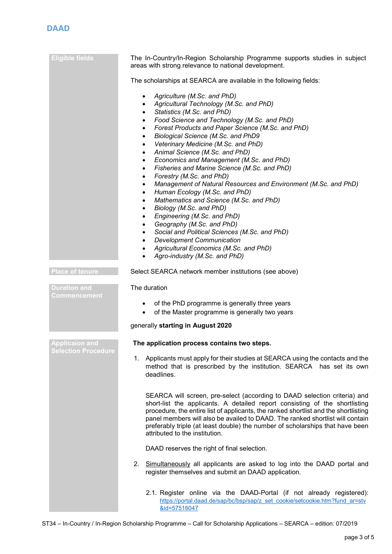| <b>Eligible fields</b>                       | The In-Country/In-Region Scholarship Programme supports studies in subject                                                                                                                                                                                                                                                                                                                                                                                                                                                                                                                                                                                                                                                                                                                                                                                                                                                                                                                                                                                                                                                             |
|----------------------------------------------|----------------------------------------------------------------------------------------------------------------------------------------------------------------------------------------------------------------------------------------------------------------------------------------------------------------------------------------------------------------------------------------------------------------------------------------------------------------------------------------------------------------------------------------------------------------------------------------------------------------------------------------------------------------------------------------------------------------------------------------------------------------------------------------------------------------------------------------------------------------------------------------------------------------------------------------------------------------------------------------------------------------------------------------------------------------------------------------------------------------------------------------|
|                                              | areas with strong relevance to national development.                                                                                                                                                                                                                                                                                                                                                                                                                                                                                                                                                                                                                                                                                                                                                                                                                                                                                                                                                                                                                                                                                   |
|                                              | The scholarships at SEARCA are available in the following fields:                                                                                                                                                                                                                                                                                                                                                                                                                                                                                                                                                                                                                                                                                                                                                                                                                                                                                                                                                                                                                                                                      |
|                                              | Agriculture (M.Sc. and PhD)<br>$\bullet$<br>Agricultural Technology (M.Sc. and PhD)<br>$\bullet$<br>Statistics (M.Sc. and PhD)<br>$\bullet$<br>Food Science and Technology (M.Sc. and PhD)<br>$\bullet$<br>Forest Products and Paper Science (M.Sc. and PhD)<br>$\bullet$<br>Biological Science (M.Sc. and PhD9<br>$\bullet$<br>Veterinary Medicine (M.Sc. and PhD)<br>$\bullet$<br>Animal Science (M.Sc. and PhD)<br>$\bullet$<br>Economics and Management (M.Sc. and PhD)<br>$\bullet$<br>Fisheries and Marine Science (M.Sc. and PhD)<br>$\bullet$<br>Forestry (M.Sc. and PhD)<br>$\bullet$<br>Management of Natural Resources and Environment (M.Sc. and PhD)<br>$\bullet$<br>Human Ecology (M.Sc. and PhD)<br>$\bullet$<br>Mathematics and Science (M.Sc. and PhD)<br>$\bullet$<br>Biology (M.Sc. and PhD)<br>$\bullet$<br>Engineering (M.Sc. and PhD)<br>$\bullet$<br>Geography (M.Sc. and PhD)<br>$\bullet$<br>Social and Political Sciences (M.Sc. and PhD)<br>$\bullet$<br><b>Development Communication</b><br>$\bullet$<br>Agricultural Economics (M.Sc. and PhD)<br>$\bullet$<br>Agro-industry (M.Sc. and PhD)<br>$\bullet$ |
| <b>Place of tenure</b>                       | Select SEARCA network member institutions (see above)                                                                                                                                                                                                                                                                                                                                                                                                                                                                                                                                                                                                                                                                                                                                                                                                                                                                                                                                                                                                                                                                                  |
| <b>Duration and</b><br>Commencement          | The duration                                                                                                                                                                                                                                                                                                                                                                                                                                                                                                                                                                                                                                                                                                                                                                                                                                                                                                                                                                                                                                                                                                                           |
|                                              | of the PhD programme is generally three years<br>$\bullet$<br>of the Master programme is generally two years<br>$\bullet$                                                                                                                                                                                                                                                                                                                                                                                                                                                                                                                                                                                                                                                                                                                                                                                                                                                                                                                                                                                                              |
|                                              | generally starting in August 2020                                                                                                                                                                                                                                                                                                                                                                                                                                                                                                                                                                                                                                                                                                                                                                                                                                                                                                                                                                                                                                                                                                      |
| Applicaion and<br><b>Selection Procedure</b> | The application process contains two steps.                                                                                                                                                                                                                                                                                                                                                                                                                                                                                                                                                                                                                                                                                                                                                                                                                                                                                                                                                                                                                                                                                            |
|                                              | 1. Applicants must apply for their studies at SEARCA using the contacts and the<br>method that is prescribed by the institution. SEARCA has set its own<br>deadlines.                                                                                                                                                                                                                                                                                                                                                                                                                                                                                                                                                                                                                                                                                                                                                                                                                                                                                                                                                                  |
|                                              | SEARCA will screen, pre-select (according to DAAD selection criteria) and<br>short-list the applicants. A detailed report consisting of the shortlisting<br>procedure, the entire list of applicants, the ranked shortlist and the shortlisting<br>panel members will also be availed to DAAD. The ranked shortlist will contain<br>preferably triple (at least double) the number of scholarships that have been<br>attributed to the institution.                                                                                                                                                                                                                                                                                                                                                                                                                                                                                                                                                                                                                                                                                    |
|                                              | DAAD reserves the right of final selection.                                                                                                                                                                                                                                                                                                                                                                                                                                                                                                                                                                                                                                                                                                                                                                                                                                                                                                                                                                                                                                                                                            |
|                                              | 2. Simultaneously all applicants are asked to log into the DAAD portal and<br>register themselves and submit an DAAD application.                                                                                                                                                                                                                                                                                                                                                                                                                                                                                                                                                                                                                                                                                                                                                                                                                                                                                                                                                                                                      |
|                                              | 2.1. Register online via the DAAD-Portal (if not already registered):<br>https://portal.daad.de/sap/bc/bsp/sap/z set cookie/setcookie.htm?fund ar=stv<br>&id=57516047                                                                                                                                                                                                                                                                                                                                                                                                                                                                                                                                                                                                                                                                                                                                                                                                                                                                                                                                                                  |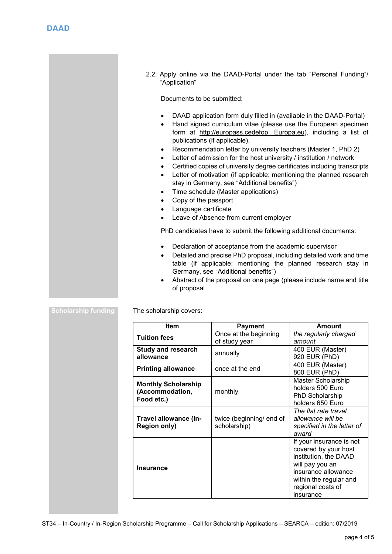2.2. Apply online via the DAAD-Portal under the tab "Personal Funding"/ "Application"

Documents to be submitted:

- DAAD application form duly filled in (available in the DAAD-Portal)
- Hand signed curriculum vitae (please use the European specimen form at http://europass.cedefop. Europa.eu), including a list of publications (if applicable).
- Recommendation letter by university teachers (Master 1, PhD 2)
- Letter of admission for the host university / institution / network
- Certified copies of university degree certificates including transcripts
- Letter of motivation (if applicable: mentioning the planned research stay in Germany, see "Additional benefits")
- Time schedule (Master applications)
- Copy of the passport
- Language certificate

ST34 – In-Country / In-Region Scholarship Programme – Call for Scholarship Applications – SEARCA – edition: 07/2019

Leave of Absence from current employer

PhD candidates have to submit the following additional documents:

- Declaration of acceptance from the academic supervisor
- Detailed and precise PhD proposal, including detailed work and time table (if applicable: mentioning the planned research stay in Germany, see "Additional benefits")
- Abstract of the proposal on one page (please include name and title of proposal

Scholarship funding The scholarship covers:

| <b>Item</b>                                                 | <b>Payment</b>                           | Amount                                                                                                                                                                          |
|-------------------------------------------------------------|------------------------------------------|---------------------------------------------------------------------------------------------------------------------------------------------------------------------------------|
| <b>Tuition fees</b>                                         | Once at the beginning<br>of study year   | the regularly charged<br>amount                                                                                                                                                 |
| <b>Study and research</b><br>allowance                      | annually                                 | 460 EUR (Master)<br>920 EUR (PhD)                                                                                                                                               |
| <b>Printing allowance</b>                                   | once at the end                          | 400 EUR (Master)<br>800 EUR (PhD)                                                                                                                                               |
| <b>Monthly Scholarship</b><br>(Accommodation,<br>Food etc.) | monthly                                  | Master Scholarship<br>holders 500 Euro<br>PhD Scholarship<br>holders 650 Euro                                                                                                   |
| Travel allowance (In-<br><b>Region only)</b>                | twice (beginning/ end of<br>scholarship) | The flat rate travel<br>allowance will be<br>specified in the letter of<br>award                                                                                                |
| Insurance                                                   |                                          | If your insurance is not<br>covered by your host<br>institution, the DAAD<br>will pay you an<br>insurance allowance<br>within the regular and<br>regional costs of<br>insurance |